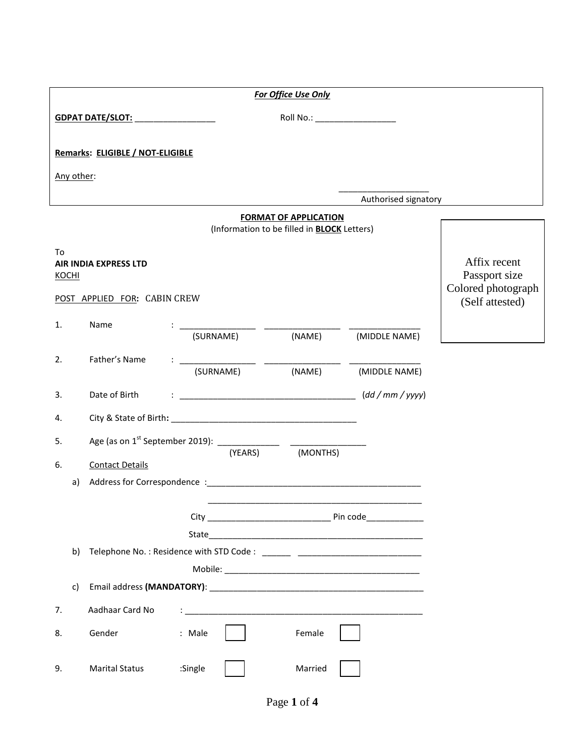|                    |                                                                    |                                                       |         |           | For Office Use Only                                                                                                                                                                              |                                |                                                                        |  |
|--------------------|--------------------------------------------------------------------|-------------------------------------------------------|---------|-----------|--------------------------------------------------------------------------------------------------------------------------------------------------------------------------------------------------|--------------------------------|------------------------------------------------------------------------|--|
|                    | Roll No.: __________________<br>GDPAT DATE/SLOT: _________________ |                                                       |         |           |                                                                                                                                                                                                  |                                |                                                                        |  |
|                    |                                                                    | Remarks: ELIGIBLE / NOT-ELIGIBLE                      |         |           |                                                                                                                                                                                                  |                                |                                                                        |  |
|                    | Any other:                                                         |                                                       |         |           |                                                                                                                                                                                                  |                                |                                                                        |  |
|                    |                                                                    |                                                       |         |           |                                                                                                                                                                                                  | Authorised signatory           |                                                                        |  |
|                    |                                                                    |                                                       |         |           | <b>FORMAT OF APPLICATION</b><br>(Information to be filled in <b>BLOCK</b> Letters)                                                                                                               |                                |                                                                        |  |
| To<br><b>KOCHI</b> |                                                                    | AIR INDIA EXPRESS LTD<br>POST APPLIED FOR: CABIN CREW |         |           |                                                                                                                                                                                                  |                                | Affix recent<br>Passport size<br>Colored photograph<br>(Self attested) |  |
| 1.                 |                                                                    | Name                                                  |         |           |                                                                                                                                                                                                  | (SURNAME) (NAME) (MIDDLE NAME) |                                                                        |  |
| 2.                 |                                                                    | Father's Name                                         |         | (SURNAME) | $\frac{1}{\sqrt{C(1)}\left(\frac{1}{C(1)}\right)^2}$ $\frac{1}{\sqrt{C(1)}\left(\frac{1}{C(1)}\right)^2}$ $\frac{1}{\sqrt{C(1)}\left(\frac{1}{C(1)}\right)^2}$ $\frac{1}{\sqrt{C(1)}}$<br>(NAME) | (MIDDLE NAME)                  |                                                                        |  |
| 3.                 |                                                                    | Date of Birth                                         |         |           |                                                                                                                                                                                                  |                                |                                                                        |  |
| 4.                 |                                                                    |                                                       |         |           |                                                                                                                                                                                                  |                                |                                                                        |  |
| 5.<br>6.           | a)                                                                 | <b>Contact Details</b>                                |         | (YEARS)   | (MONTHS)                                                                                                                                                                                         |                                |                                                                        |  |
|                    |                                                                    |                                                       |         |           |                                                                                                                                                                                                  | Pin code                       |                                                                        |  |
|                    | b)                                                                 |                                                       |         |           |                                                                                                                                                                                                  |                                |                                                                        |  |
|                    | c)                                                                 |                                                       |         |           |                                                                                                                                                                                                  |                                |                                                                        |  |
| 7.                 |                                                                    | Aadhaar Card No                                       |         |           |                                                                                                                                                                                                  |                                |                                                                        |  |
| 8.                 |                                                                    | Gender                                                | : Male  |           | Female                                                                                                                                                                                           |                                |                                                                        |  |
| 9.                 |                                                                    | <b>Marital Status</b>                                 | :Single |           | Married                                                                                                                                                                                          |                                |                                                                        |  |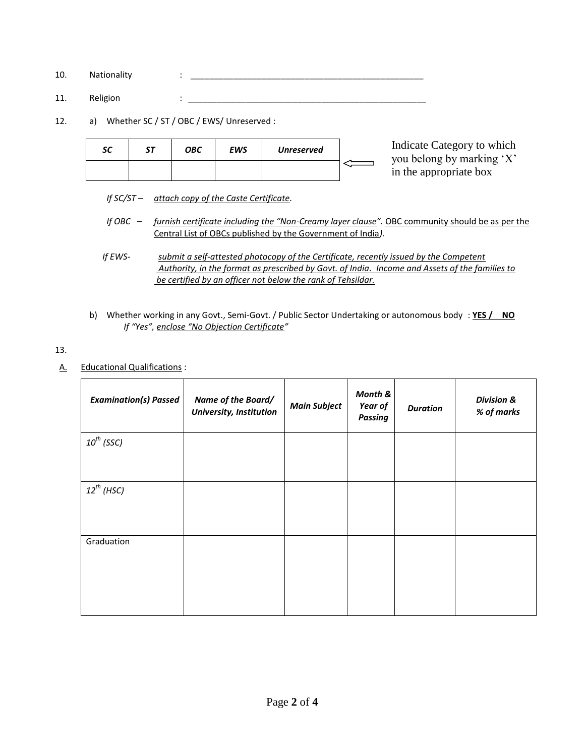- 10. Nationality : \_\_\_\_\_\_\_\_\_\_\_\_\_\_\_\_\_\_\_\_\_\_\_\_\_\_\_\_\_\_\_\_\_\_\_\_\_\_\_\_\_\_\_\_\_\_\_\_\_
- 11. Religion : \_\_\_\_\_\_\_\_\_\_\_\_\_\_\_\_\_\_\_\_\_\_\_\_\_\_\_\_\_\_\_\_\_\_\_\_\_\_\_\_\_\_\_\_\_\_\_\_\_\_
- 12. a) Whether SC / ST / OBC / EWS/ Unreserved :

| in the appropriate box | sc | <b>OBC</b> | EWS | <b>Unreserved</b> | Indicate Category to which<br>you belong by marking 'X' |
|------------------------|----|------------|-----|-------------------|---------------------------------------------------------|
|                        |    |            |     |                   |                                                         |

- *If SC/ST – attach copy of the Caste Certificate.*
- *If OBC – furnish certificate including the "Non-Creamy layer clause".* OBC community should be as per the Central List of OBCs published by the Government of India*).*
- *If EWS- submit a self-attested photocopy of the Certificate, recently issued by the Competent Authority, in the format as prescribed by Govt. of India. Income and Assets of the families to be certified by an officer not below the rank of Tehsildar.*
- b) Whether working in any Govt., Semi-Govt. / Public Sector Undertaking or autonomous body : **YES / NO**  *If "Yes", enclose "No Objection Certificate"*

13.

A. Educational Qualifications :

| <b>Examination(s) Passed</b> | Name of the Board/<br>University, Institution | <b>Main Subject</b> | Month &<br>Year of<br><b>Passing</b> | <b>Duration</b> | <b>Division &amp;</b><br>% of marks |
|------------------------------|-----------------------------------------------|---------------------|--------------------------------------|-----------------|-------------------------------------|
| $10^{th}$ (SSC)              |                                               |                     |                                      |                 |                                     |
| $12^{th}$ (HSC)              |                                               |                     |                                      |                 |                                     |
| Graduation                   |                                               |                     |                                      |                 |                                     |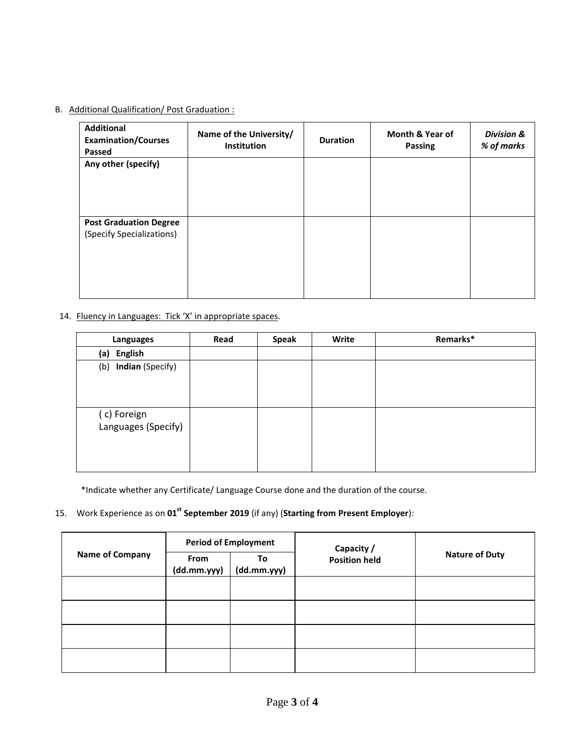### B. Additional Qualification/ Post Graduation :

| <b>Additional</b><br><b>Examination/Courses</b><br>Passed  | Name of the University/<br>Institution | <b>Duration</b> | Month & Year of<br><b>Passing</b> | <b>Division &amp;</b><br>% of marks |
|------------------------------------------------------------|----------------------------------------|-----------------|-----------------------------------|-------------------------------------|
| Any other (specify)                                        |                                        |                 |                                   |                                     |
| <b>Post Graduation Degree</b><br>(Specify Specializations) |                                        |                 |                                   |                                     |

#### 14. Fluency in Languages: Tick 'X' in appropriate spaces.

| <b>Languages</b>                   | Read | <b>Speak</b> | Write | Remarks* |
|------------------------------------|------|--------------|-------|----------|
| English<br>(a)                     |      |              |       |          |
| <b>Indian</b> (Specify)<br>(b)     |      |              |       |          |
| (c) Foreign<br>Languages (Specify) |      |              |       |          |

\*Indicate whether any Certificate/ Language Course done and the duration of the course.

# 15. Work Experience as on **01st September 2019** (if any) (**Starting from Present Employer**):

|                        |                     | <b>Period of Employment</b> | Capacity /           |                       |  |
|------------------------|---------------------|-----------------------------|----------------------|-----------------------|--|
| <b>Name of Company</b> | From<br>(dd.mm.yyy) | To<br>(dd.mm.yyy)           | <b>Position held</b> | <b>Nature of Duty</b> |  |
|                        |                     |                             |                      |                       |  |
|                        |                     |                             |                      |                       |  |
|                        |                     |                             |                      |                       |  |
|                        |                     |                             |                      |                       |  |